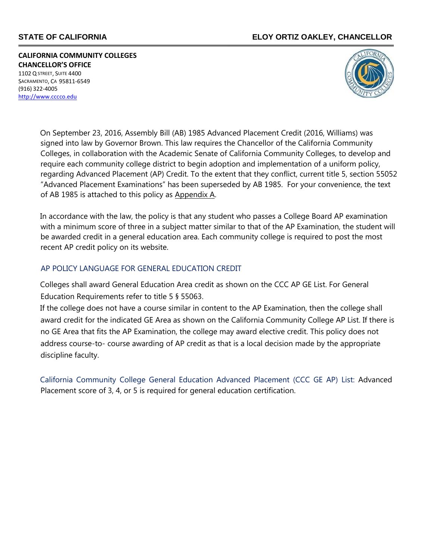## **STATE OF CALIFORNIA ELOY ORTIZ OAKLEY, CHANCELLOR**

**CALIFORNIA COMMUNITY COLLEGES CHANCELLOR'S OFFICE** 1102 Q STREET, SUITE 4400 SACRAMENTO, CA 95811-6549 (916) 322-4005 [http://www.cccco.edu](http://www.cccco.edu/)



On September 23, 2016, Assembly Bill (AB) 1985 Advanced Placement Credit (2016, Williams) was signed into law by Governor Brown. This law requires the Chancellor of the California Community Colleges, in collaboration with the Academic Senate of California Community Colleges, to develop and require each community college district to begin adoption and implementation of a uniform policy, regarding Advanced Placement (AP) Credit. To the extent that they conflict, current title 5, section 55052 "Advanced Placement Examinations" has been superseded by AB 1985. For your convenience, the text of AB 1985 is attached to this policy as Appendix A.

In accordance with the law, the policy is that any student who passes a College Board AP examination with a minimum score of three in a subject matter similar to that of the AP Examination, the student will be awarded credit in a general education area. Each community college is required to post the most recent AP credit policy on its website.

## AP POLICY LANGUAGE FOR GENERAL EDUCATION CREDIT

Colleges shall award General Education Area credit as shown on the CCC AP GE List. For General Education Requirements refer to title 5 § 55063.

If the college does not have a course similar in content to the AP Examination, then the college shall award credit for the indicated GE Area as shown on the California Community College AP List. If there is no GE Area that fits the AP Examination, the college may award elective credit. This policy does not address course-to- course awarding of AP credit as that is a local decision made by the appropriate discipline faculty.

California Community College General Education Advanced Placement (CCC GE AP) List: Advanced Placement score of 3, 4, or 5 is required for general education certification.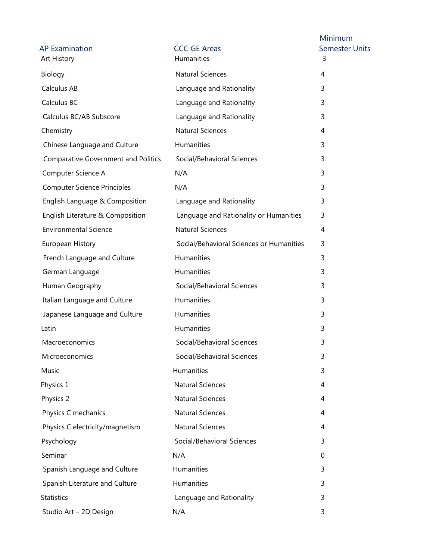| <b>AP Examination</b><br>Art History       | <b>CCC GE Areas</b><br>Humanities        | Minimum<br><b>Semester Units</b><br>3 |
|--------------------------------------------|------------------------------------------|---------------------------------------|
| Biology                                    | <b>Natural Sciences</b>                  | 4                                     |
| Calculus AB                                | Language and Rationality                 | 3                                     |
| Calculus BC                                | Language and Rationality                 | 3                                     |
| Calculus BC/AB Subscore                    | Language and Rationality                 | 3                                     |
| Chemistry                                  | <b>Natural Sciences</b>                  | 4                                     |
| Chinese Language and Culture               | Humanities                               | 3                                     |
| <b>Comparative Government and Politics</b> | Social/Behavioral Sciences               | 3                                     |
| Computer Science A                         | N/A                                      | 3                                     |
| <b>Computer Science Principles</b>         | N/A                                      | 3                                     |
| English Language & Composition             | Language and Rationality                 | 3                                     |
| English Literature & Composition           | Language and Rationality or Humanities   | 3                                     |
| <b>Environmental Science</b>               | <b>Natural Sciences</b>                  | 4                                     |
| European History                           | Social/Behavioral Sciences or Humanities | 3                                     |
| French Language and Culture                | Humanities                               | 3                                     |
| German Language                            | Humanities                               | 3                                     |
| Human Geography                            | Social/Behavioral Sciences               | 3                                     |
| Italian Language and Culture               | Humanities                               | 3                                     |
| Japanese Language and Culture              | Humanities                               | 3                                     |
| Latin                                      | Humanities                               | 3                                     |
| Macroeconomics                             | Social/Behavioral Sciences               | 3                                     |
| Microeconomics                             | Social/Behavioral Sciences               | 3                                     |
| Music                                      | Humanities                               | 3                                     |
| Physics 1                                  | <b>Natural Sciences</b>                  | 4                                     |
| Physics 2                                  | <b>Natural Sciences</b>                  | 4                                     |
| Physics C mechanics                        | <b>Natural Sciences</b>                  | 4                                     |
| Physics C electricity/magnetism            | <b>Natural Sciences</b>                  | 4                                     |
| Psychology                                 | Social/Behavioral Sciences               | 3                                     |
| Seminar                                    | N/A                                      | 0                                     |
| Spanish Language and Culture               | Humanities                               | 3                                     |
| Spanish Literature and Culture             | Humanities                               | 3                                     |
| <b>Statistics</b>                          | Language and Rationality                 | 3                                     |
| Studio Art - 2D Design                     | N/A                                      | 3                                     |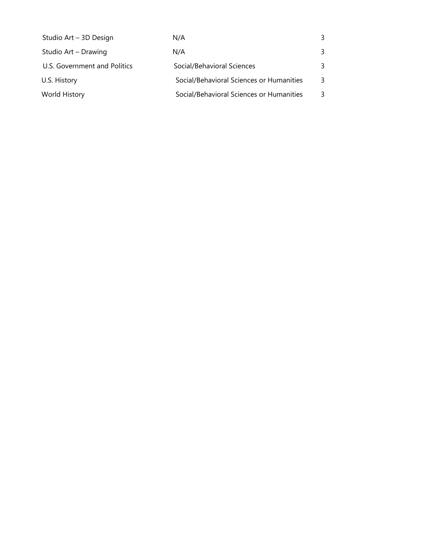| Studio Art - 3D Design       | N/A                                      | 3 |
|------------------------------|------------------------------------------|---|
| Studio Art - Drawing         | N/A                                      | 3 |
| U.S. Government and Politics | Social/Behavioral Sciences               | 3 |
| U.S. History                 | Social/Behavioral Sciences or Humanities | 3 |
| World History                | Social/Behavioral Sciences or Humanities | 3 |